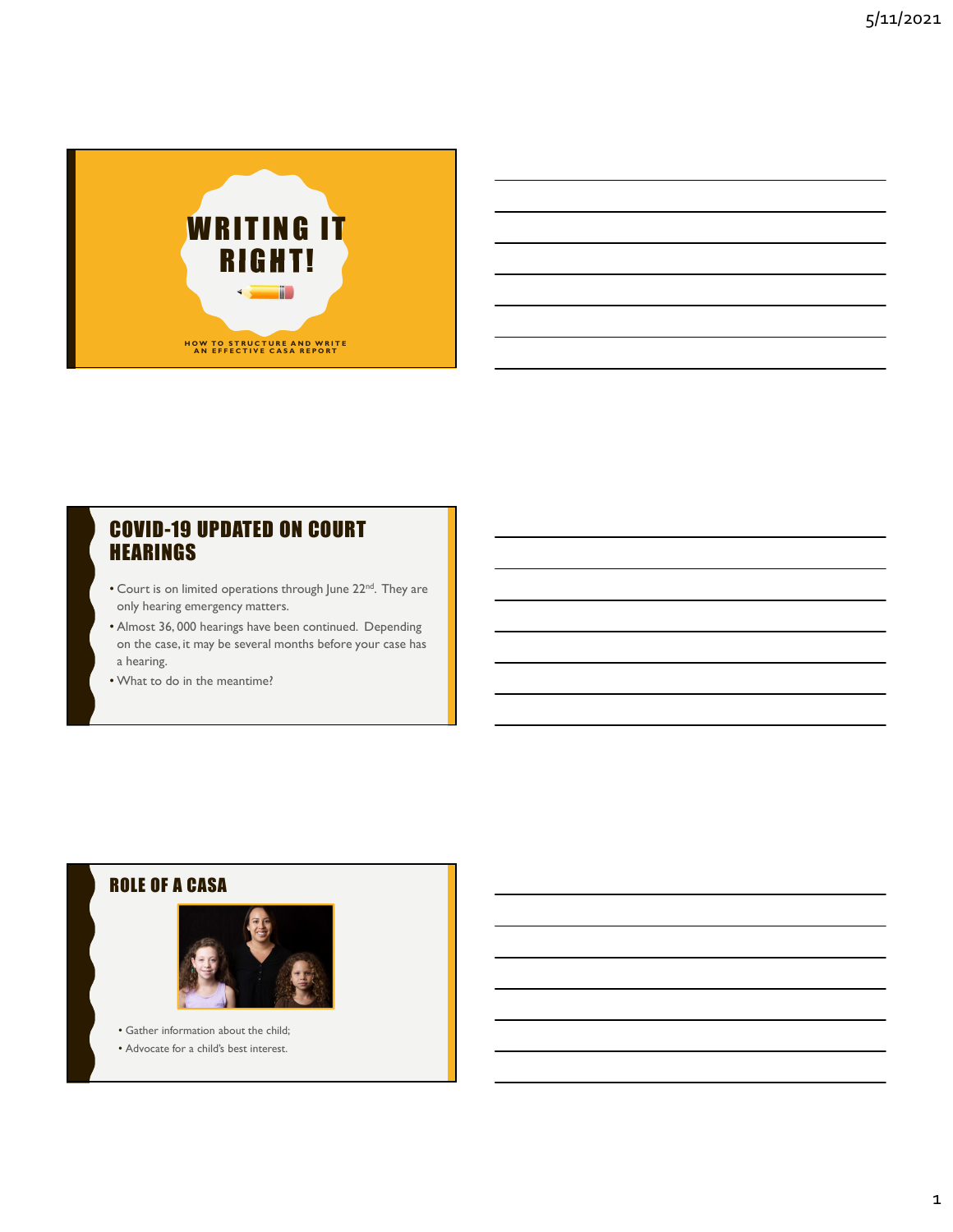

### COVID-19 UPDATED ON COURT **HEARINGS**

- Court is on limited operations through June 22<sup>nd</sup>. They are only hearing emergency matters.
- Almost 36, 000 hearings have been continued. Depending on the case, it may be several months before your case has a hearing.
- What to do in the meantime?

### ROLE OF A CASA



• Gather information about the child; • Advocate for a child's best interest.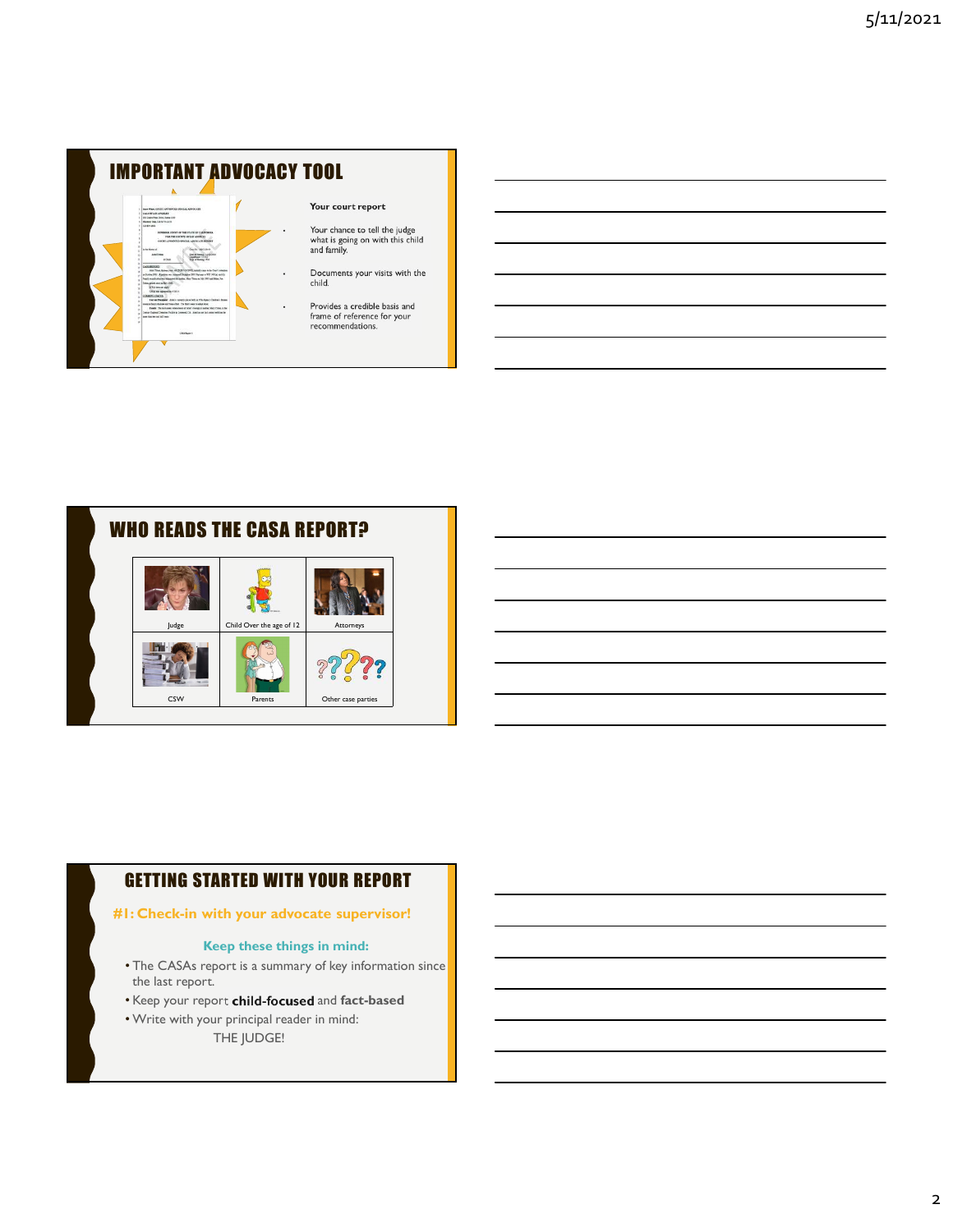



### GETTING STARTED WITH YOUR REPORT

#### #1: Check-in with your advocate supervisor!

#### Keep these things in mind:

- The CASAs report is a summary of key information since the last report.
- Keep your report child-focused and fact-based
- Write with your principal reader in mind:
	- THE JUDGE!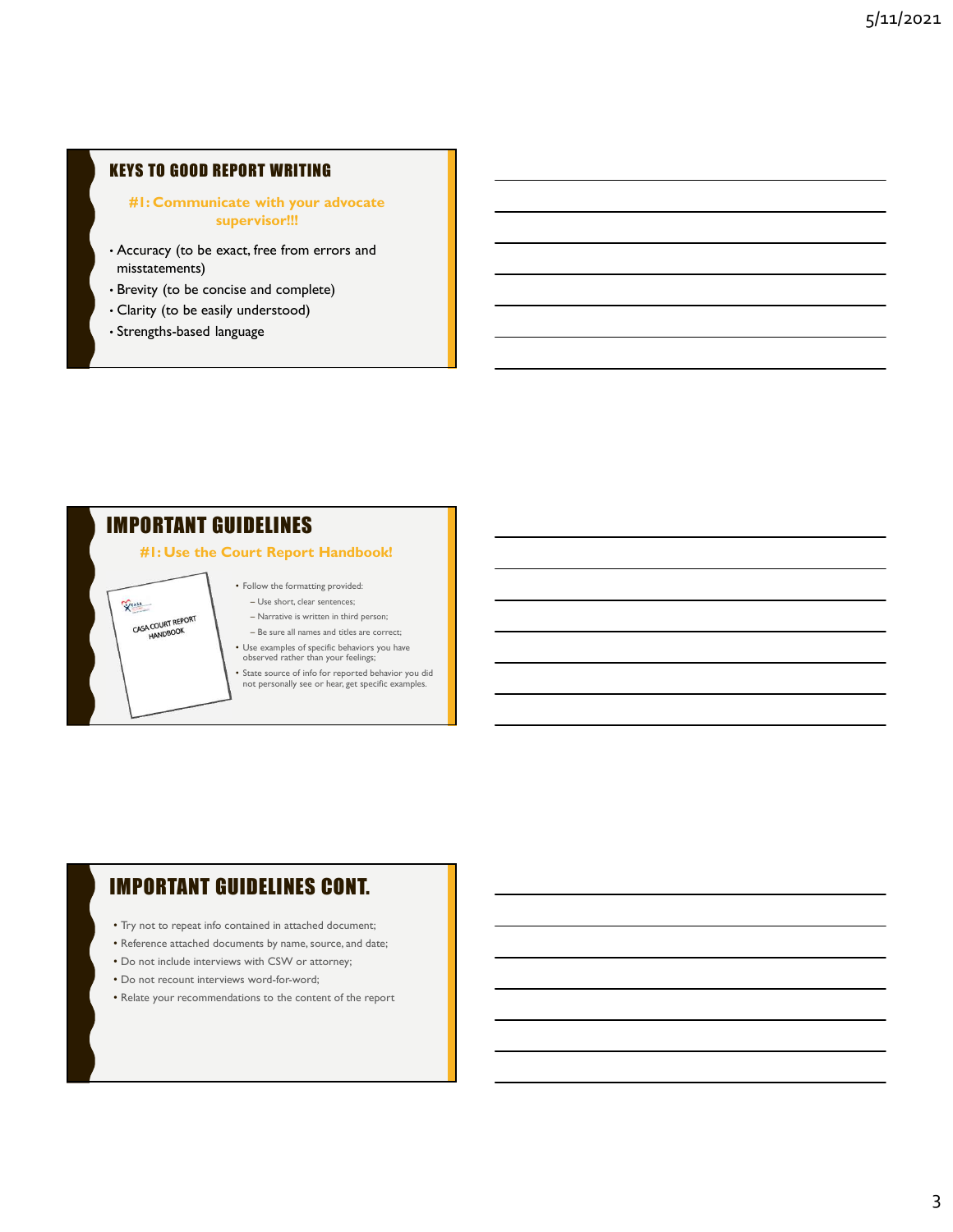### KEYS TO GOOD REPORT WRITING

### #1: Communicate with your advocate supervisor!!!

- Accuracy (to be exact, free from errors and misstatements)
- Brevity (to be concise and complete)
- Clarity (to be easily understood)
- Strengths-based language

# IMPORTANT GUIDELINES

VEASA

CASA COURT REPORT

### #1: Use the Court Report Handbook!

- Follow the formatting provided: Use short, clear sentences;
- Narrative is written in third person;
- Be sure all names and titles are correct; • Use examples of specific behaviors you have observed rather than your feelings;
- State source of info for reported behavior you did not personally see or hear, get specific examples.

# IMPORTANT GUIDELINES CONT.

- Try not to repeat info contained in attached document;
- Reference attached documents by name, source, and date;
- Do not include interviews with CSW or attorney;
- Do not recount interviews word-for-word;
- Relate your recommendations to the content of the report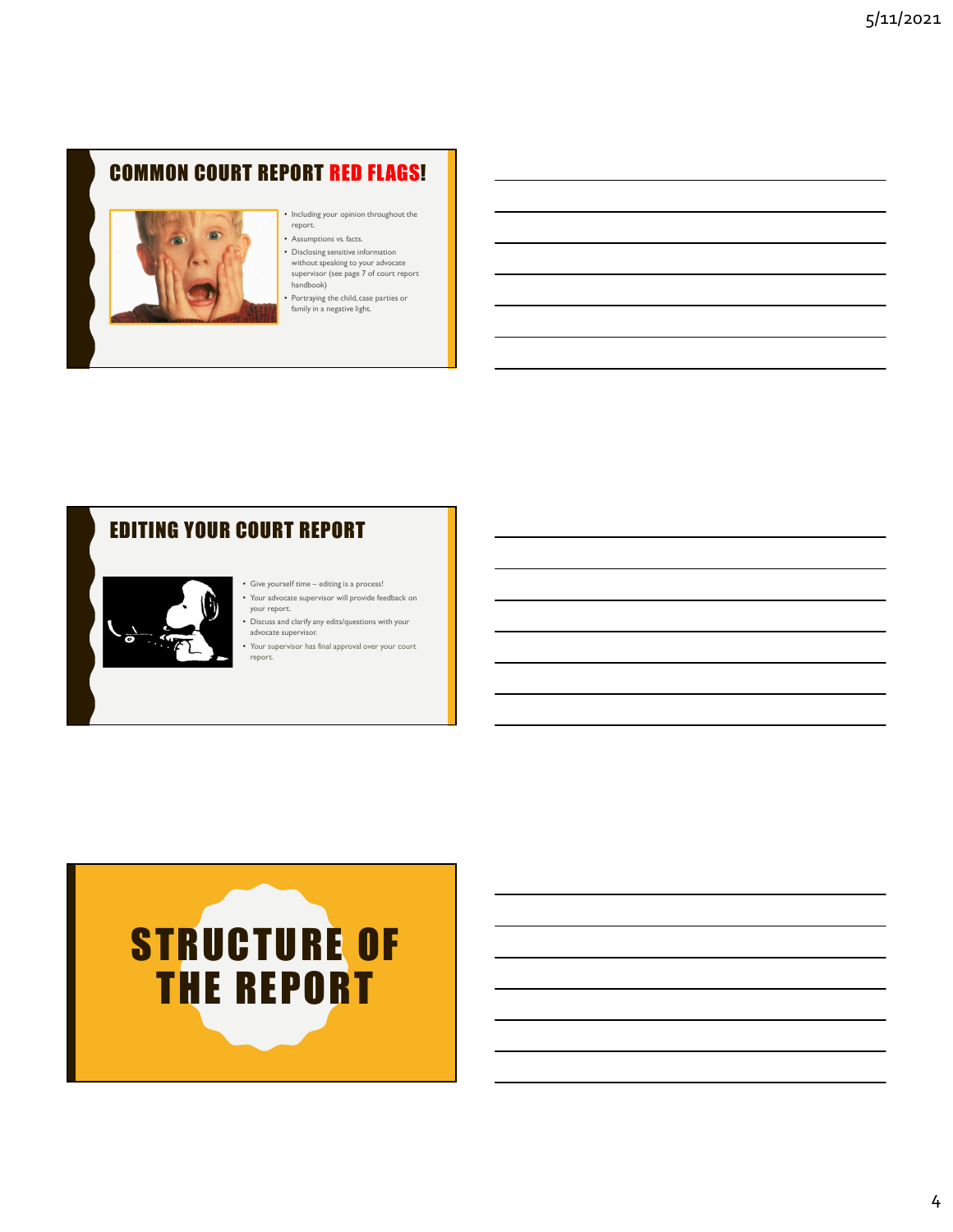# COMMON COURT REPORT RED FLAGS!



## • Including your opinion throughout the report.

- Assumptions vs. facts.
- 
- Disclosing sensitive information<br>
without speaking to your advocate<br>
supervisor (see page 7 of court report<br>
handbook)

• Portraying the child, case parties or family in a negative light.

# EDITING YOUR COURT REPORT



- 
- Discuss and clarify any edits/questions with your<br>advocate supervisor.
- Your supervisor has final approval over your court report.

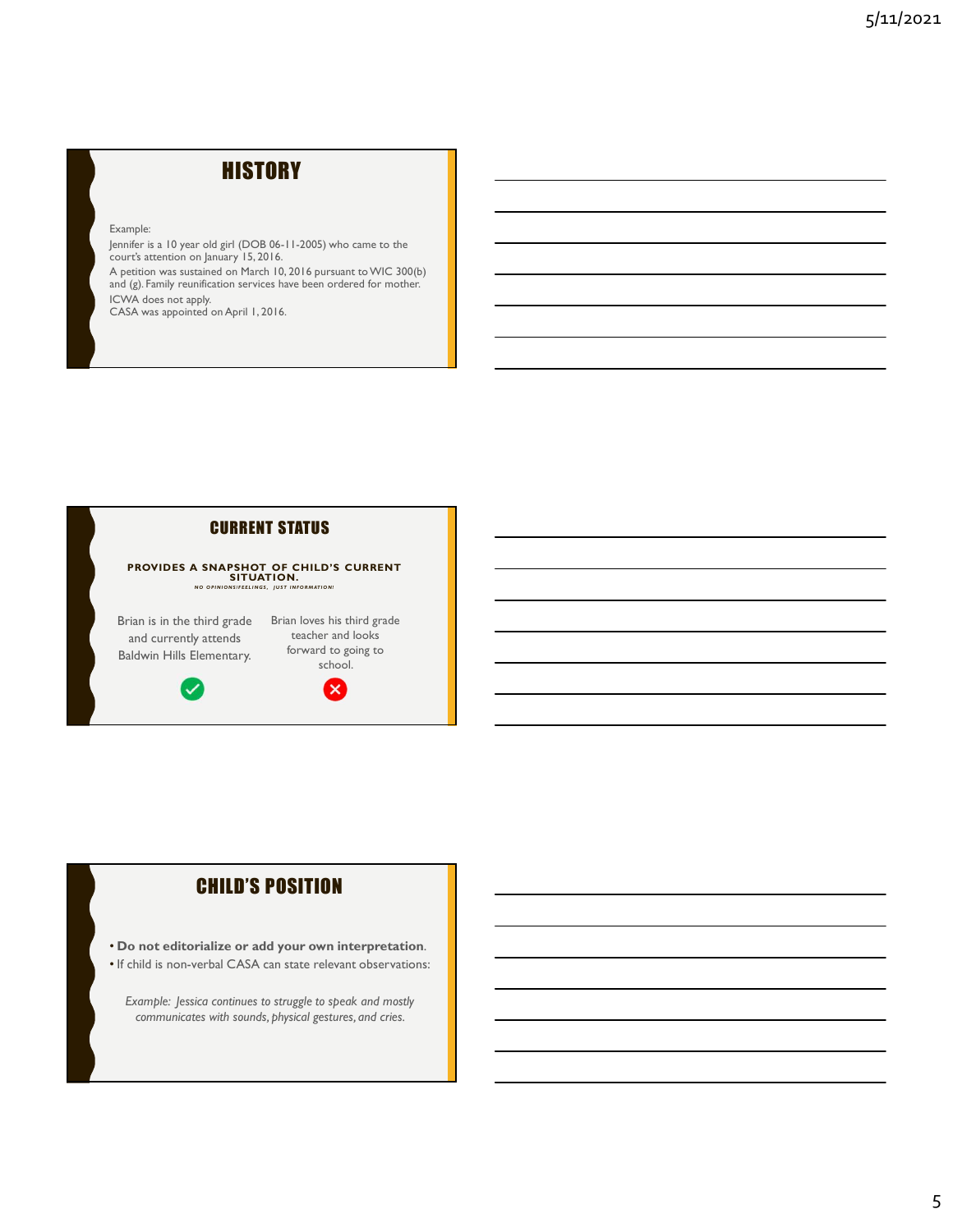# **HISTORY**

Example:

Jennifer is a 10 year old girl (DOB 06-11-2005) who came to the court's attention on January 15, 2016. A petition was sustained on March 10, 2016 pursuant to WIC 300(b) and (g). Family reunification services have been ordered for mother. ICWA does not apply. CASA was appointed on April 1, 2016.



### CHILD'S POSITION

- Do not editorialize or add your own interpretation.
- If child is non-verbal CASA can state relevant observations:

Example: Jessica continues to struggle to speak and mostly communicates with sounds, physical gestures, and cries.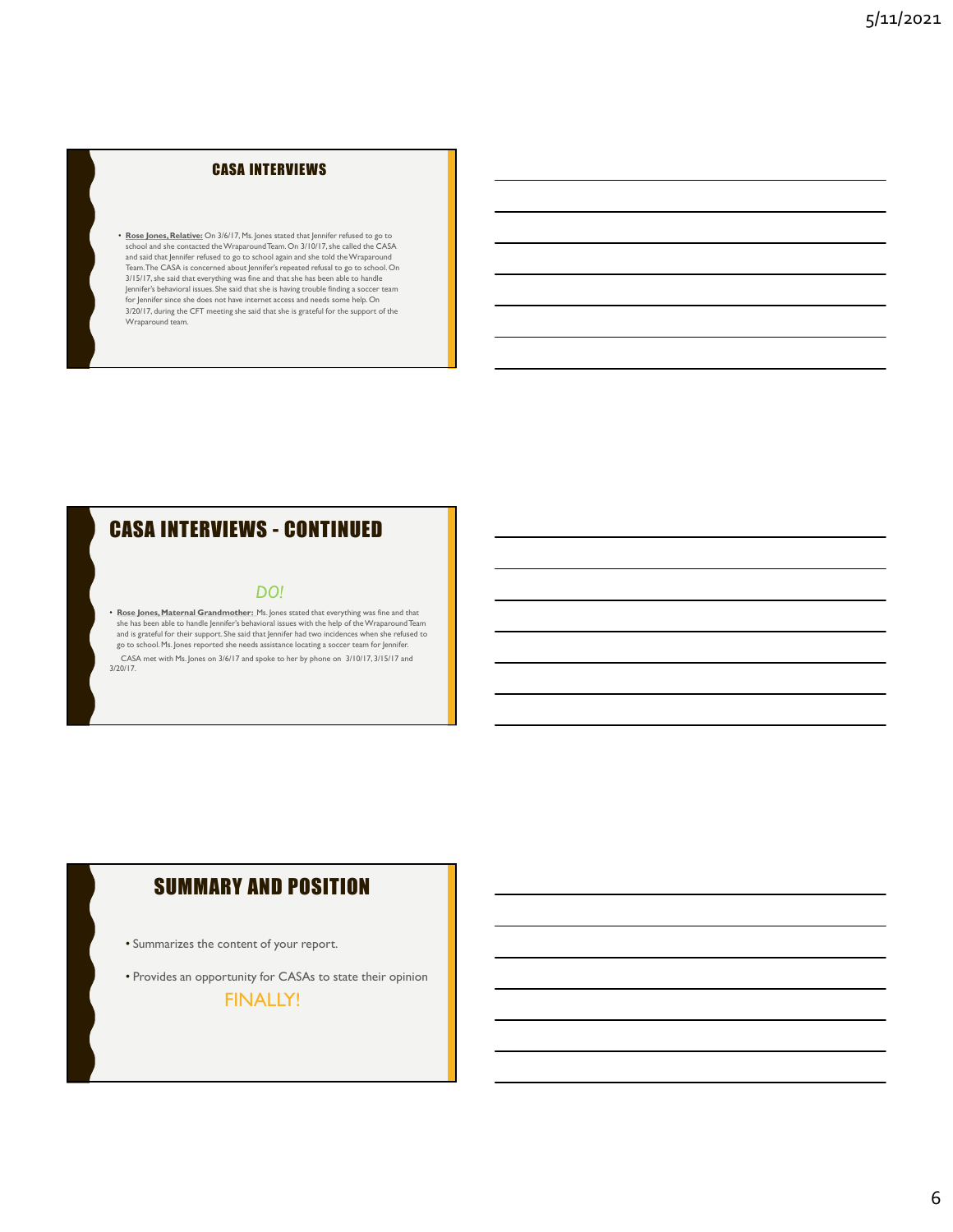### CASA INTERVIEWS

• Rose Jones, Relative: On 3/6/17, Ms. Jones stated that Jennifer refused to go to stated the CASA stated the contacted the Wraparound Team. On 3/10/17, she called the CASA stated the contacted the Wraparound Team. On 3/10 and said that Jennifer refused to go to school again and she told the Wraparound<br>Team.The CASA is concerned about Jennifer's repeated refusal to go to school. On 3/15/17, she said that everything was fine and that she has been able to handle Jennifer's behavioral issues. She said that she is having trouble finding a soccer team **for the soccent solut o**<br>for Jennifer since she does not have internet access and needs some help. On 3/20/17, during the CFT meeting she said that she is grateful for the support of the Wraparound team. **CASA INTERVIEWS**<br>  $\cdot$  floats hence, Relatives  $\circ \sim 10^{17}$ . Fluores cases that hence the visual of a top  $\circ \sim$ <br>
where an all the content distance of the continued into the CASA intervention of a UPC  $\circ \sim$  Continued i

### DO!

• Rose Jones, Maternal Grandmother: Ms. Jones stated that everything was fine and that she has been able to handle Jennifer's behavioral issues with the help of the Wraparound Team<br>and is grateful for their support. She said that Jennifer had two incidences when she refused to<br>go to school. Ms. Jones reporte CASA met with Ms. Jones on 3/6/17 and spoke to her by phone on 3/10/17, 3/15/17 and 3/20/17.

# SUMMARY AND POSITION

- Summarizes the content of your report.
- Provides an opportunity for CASAs to state their opinion

FINALLY!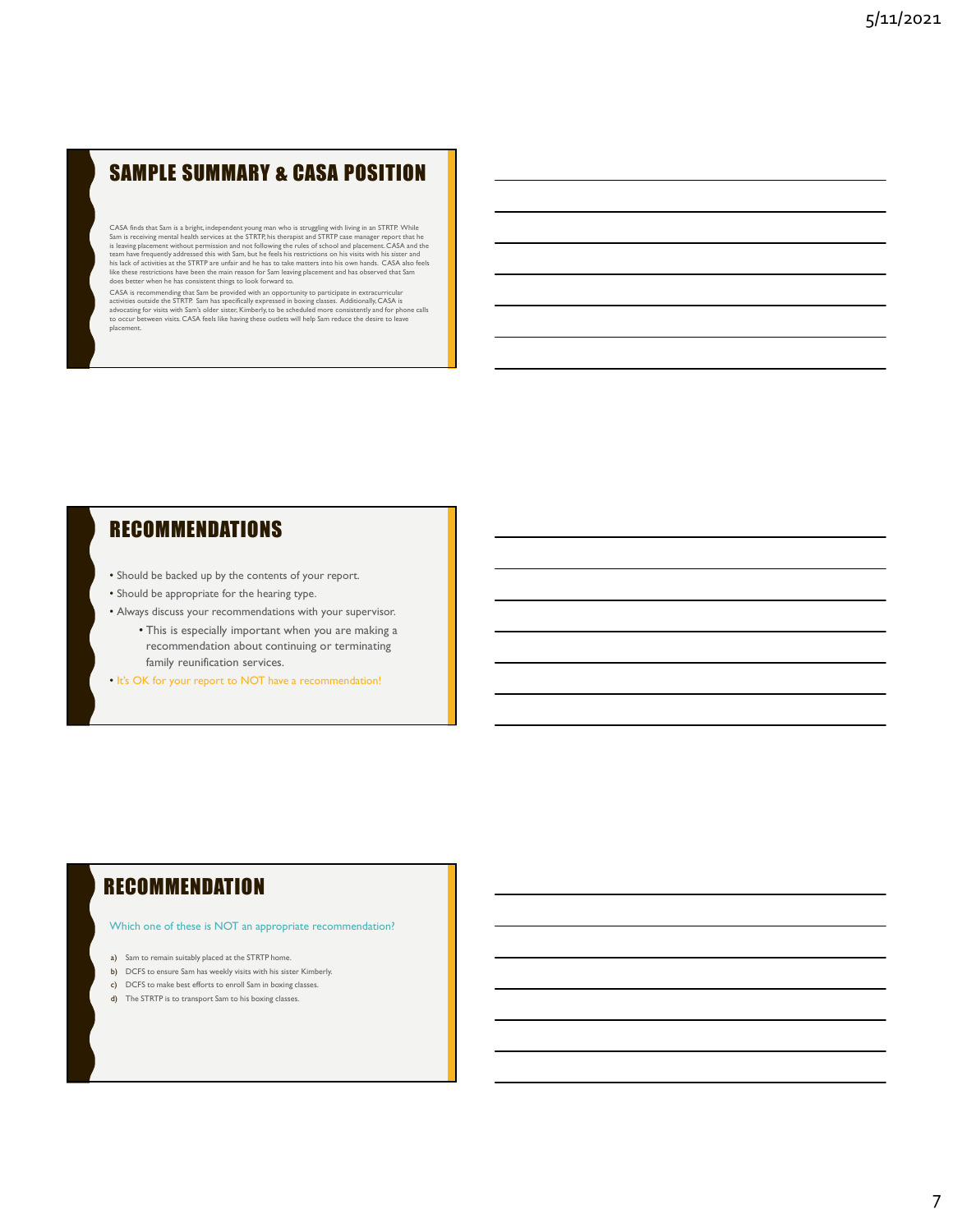# SAMPLE SUMMARY & CASA POSITION

CASA finds that Sam is a bright, independent young man who is struggling with living in an STRTP. While Sam is receiving mental health services at the Sam is receiving mental health services at the Stam is the Stam is the is leaving placement without permission and not following the rules of school and placement. CASA and the<br>team have frequently addressed this with Sam, but he feels his restrictions on his visits with his sister and<br>his la

does better winen ne nas consistent trungs to room tot war u to.<br>CASA is recommending that Sam be provided with an opportunity to participate in extracurricular<br>activities outside the STRTP. Sam has specifically expressed

# **RECOMMENDATIONS**

- Should be backed up by the contents of your report.
- Should be appropriate for the hearing type.
- Always discuss your recommendations with your supervisor.
	- This is especially important when you are making a recommendation about continuing or terminating family reunification services.
- It's OK for your report to NOT have a recommendation!

### **RECOMMENDATION**

#### Which one of these is NOT an appropriate recommendation?

- a) Sam to remain suitably placed at the STRTP home.
- b) DCFS to ensure Sam has weekly visits with his sister Kimberly.
- c) DCFS to make best efforts to enroll Sam in boxing classes.
- d) The STRTP is to transport Sam to his boxing classes.